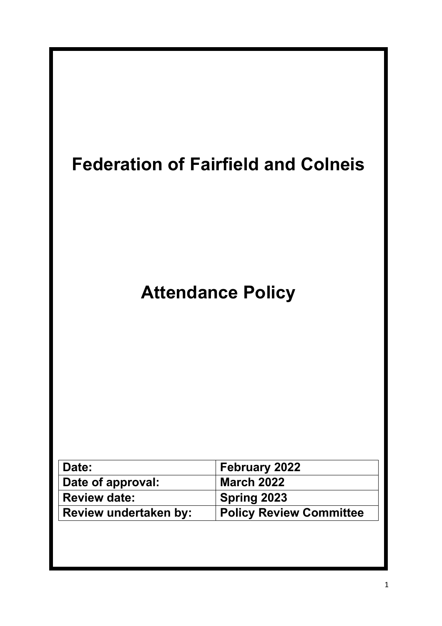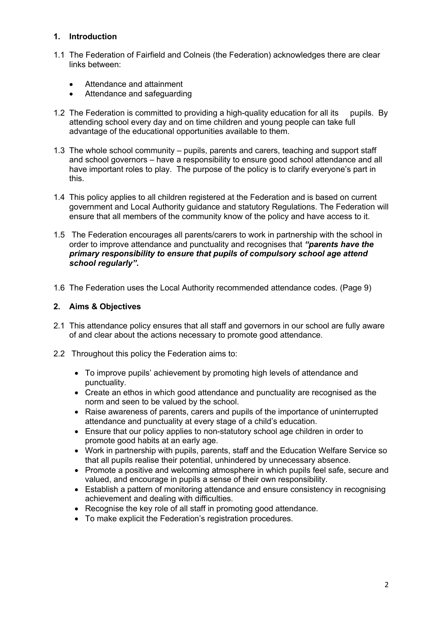# **1. Introduction**

- 1.1 The Federation of Fairfield and Colneis (the Federation) acknowledges there are clear links between:
	- Attendance and attainment
	- Attendance and safeguarding
- 1.2 The Federation is committed to providing a high-quality education for all its pupils. By attending school every day and on time children and young people can take full advantage of the educational opportunities available to them.
- 1.3 The whole school community pupils, parents and carers, teaching and support staff and school governors – have a responsibility to ensure good school attendance and all have important roles to play. The purpose of the policy is to clarify everyone's part in this.
- 1.4 This policy applies to all children registered at the Federation and is based on current government and Local Authority guidance and statutory Regulations. The Federation will ensure that all members of the community know of the policy and have access to it.
- 1.5 The Federation encourages all parents/carers to work in partnership with the school in order to improve attendance and punctuality and recognises that *"parents have the primary responsibility to ensure that pupils of compulsory school age attend school regularly"***.**
- 1.6 The Federation uses the Local Authority recommended attendance codes. (Page 9)

## **2. Aims & Objectives**

- 2.1 This attendance policy ensures that all staff and governors in our school are fully aware of and clear about the actions necessary to promote good attendance.
- 2.2 Throughout this policy the Federation aims to:
	- To improve pupils' achievement by promoting high levels of attendance and punctuality.
	- Create an ethos in which good attendance and punctuality are recognised as the norm and seen to be valued by the school.
	- Raise awareness of parents, carers and pupils of the importance of uninterrupted attendance and punctuality at every stage of a child's education.
	- Ensure that our policy applies to non-statutory school age children in order to promote good habits at an early age.
	- Work in partnership with pupils, parents, staff and the Education Welfare Service so that all pupils realise their potential, unhindered by unnecessary absence.
	- Promote a positive and welcoming atmosphere in which pupils feel safe, secure and valued, and encourage in pupils a sense of their own responsibility.
	- Establish a pattern of monitoring attendance and ensure consistency in recognising achievement and dealing with difficulties.
	- Recognise the key role of all staff in promoting good attendance.
	- To make explicit the Federation's registration procedures.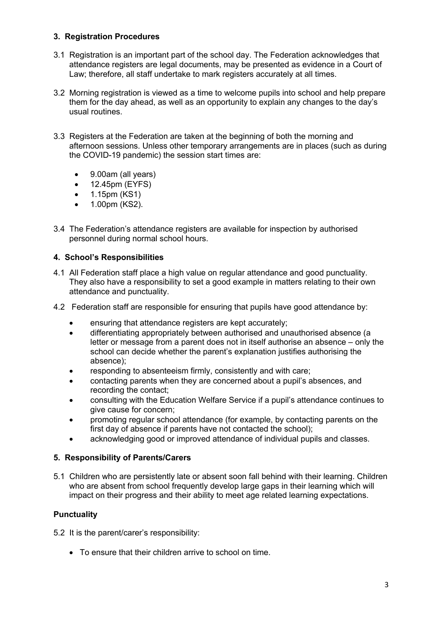# **3. Registration Procedures**

- 3.1 Registration is an important part of the school day. The Federation acknowledges that attendance registers are legal documents, may be presented as evidence in a Court of Law; therefore, all staff undertake to mark registers accurately at all times.
- 3.2 Morning registration is viewed as a time to welcome pupils into school and help prepare them for the day ahead, as well as an opportunity to explain any changes to the day's usual routines.
- 3.3 Registers at the Federation are taken at the beginning of both the morning and afternoon sessions. Unless other temporary arrangements are in places (such as during the COVID-19 pandemic) the session start times are:
	- 9.00am (all years)
	- 12.45pm (EYFS)
	- 1.15pm (KS1)
	- 1.00pm (KS2).
- 3.4 The Federation's attendance registers are available for inspection by authorised personnel during normal school hours.

### **4. School's Responsibilities**

- 4.1 All Federation staff place a high value on regular attendance and good punctuality. They also have a responsibility to set a good example in matters relating to their own attendance and punctuality.
- 4.2 Federation staff are responsible for ensuring that pupils have good attendance by:
	- ensuring that attendance registers are kept accurately;
	- differentiating appropriately between authorised and unauthorised absence (a letter or message from a parent does not in itself authorise an absence – only the school can decide whether the parent's explanation justifies authorising the absence);
	- responding to absenteeism firmly, consistently and with care;
	- contacting parents when they are concerned about a pupil's absences, and recording the contact;
	- consulting with the Education Welfare Service if a pupil's attendance continues to give cause for concern;
	- promoting regular school attendance (for example, by contacting parents on the first day of absence if parents have not contacted the school);
	- acknowledging good or improved attendance of individual pupils and classes.

### **5. Responsibility of Parents/Carers**

5.1 Children who are persistently late or absent soon fall behind with their learning. Children who are absent from school frequently develop large gaps in their learning which will impact on their progress and their ability to meet age related learning expectations.

### **Punctuality**

- 5.2 It is the parent/carer's responsibility:
	- To ensure that their children arrive to school on time.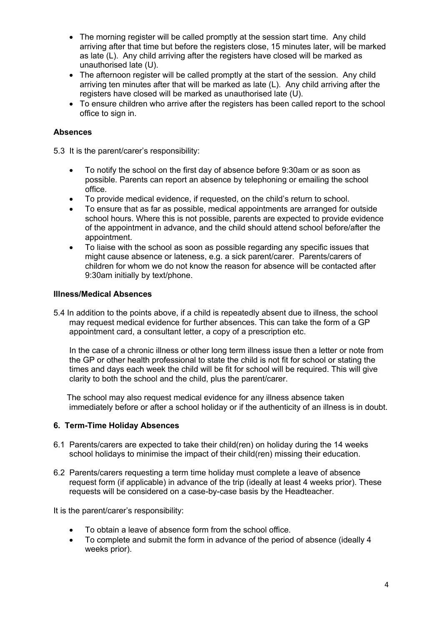- The morning register will be called promptly at the session start time. Any child arriving after that time but before the registers close, 15 minutes later, will be marked as late (L). Any child arriving after the registers have closed will be marked as unauthorised late (U).
- The afternoon register will be called promptly at the start of the session. Any child arriving ten minutes after that will be marked as late (L). Any child arriving after the registers have closed will be marked as unauthorised late (U).
- To ensure children who arrive after the registers has been called report to the school office to sign in.

### **Absences**

5.3 It is the parent/carer's responsibility:

- To notify the school on the first day of absence before 9:30am or as soon as possible. Parents can report an absence by telephoning or emailing the school office.
- To provide medical evidence, if requested, on the child's return to school.
- To ensure that as far as possible, medical appointments are arranged for outside school hours. Where this is not possible, parents are expected to provide evidence of the appointment in advance, and the child should attend school before/after the appointment.
- To liaise with the school as soon as possible regarding any specific issues that might cause absence or lateness, e.g. a sick parent/carer. Parents/carers of children for whom we do not know the reason for absence will be contacted after 9:30am initially by text/phone.

#### **Illness/Medical Absences**

5.4 In addition to the points above, if a child is repeatedly absent due to illness, the school may request medical evidence for further absences. This can take the form of a GP appointment card, a consultant letter, a copy of a prescription etc.

In the case of a chronic illness or other long term illness issue then a letter or note from the GP or other health professional to state the child is not fit for school or stating the times and days each week the child will be fit for school will be required. This will give clarity to both the school and the child, plus the parent/carer.

The school may also request medical evidence for any illness absence taken immediately before or after a school holiday or if the authenticity of an illness is in doubt.

### **6. Term-Time Holiday Absences**

- 6.1 Parents/carers are expected to take their child(ren) on holiday during the 14 weeks school holidays to minimise the impact of their child(ren) missing their education.
- 6.2 Parents/carers requesting a term time holiday must complete a leave of absence request form (if applicable) in advance of the trip (ideally at least 4 weeks prior). These requests will be considered on a case-by-case basis by the Headteacher.

It is the parent/carer's responsibility:

- To obtain a leave of absence form from the school office.
- To complete and submit the form in advance of the period of absence (ideally 4 weeks prior).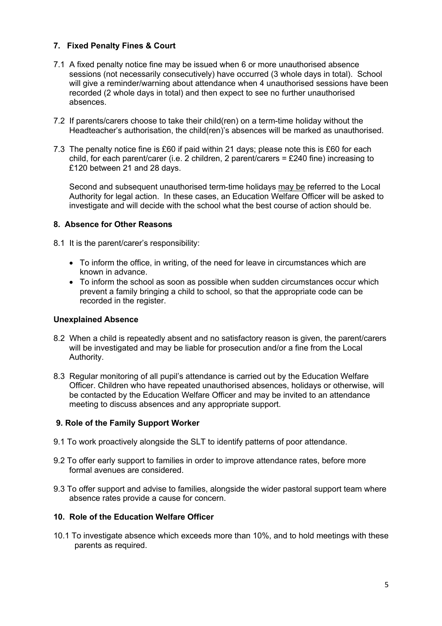# **7. Fixed Penalty Fines & Court**

- 7.1 A fixed penalty notice fine may be issued when 6 or more unauthorised absence sessions (not necessarily consecutively) have occurred (3 whole days in total). School will give a reminder/warning about attendance when 4 unauthorised sessions have been recorded (2 whole days in total) and then expect to see no further unauthorised absences.
- 7.2 If parents/carers choose to take their child(ren) on a term-time holiday without the Headteacher's authorisation, the child(ren)'s absences will be marked as unauthorised.
- 7.3 The penalty notice fine is £60 if paid within 21 days; please note this is £60 for each child, for each parent/carer (i.e. 2 children, 2 parent/carers = £240 fine) increasing to £120 between 21 and 28 days.

Second and subsequent unauthorised term-time holidays may be referred to the Local Authority for legal action. In these cases, an Education Welfare Officer will be asked to investigate and will decide with the school what the best course of action should be.

### **8. Absence for Other Reasons**

8.1 It is the parent/carer's responsibility:

- To inform the office, in writing, of the need for leave in circumstances which are known in advance.
- To inform the school as soon as possible when sudden circumstances occur which prevent a family bringing a child to school, so that the appropriate code can be recorded in the register.

### **Unexplained Absence**

- 8.2 When a child is repeatedly absent and no satisfactory reason is given, the parent/carers will be investigated and may be liable for prosecution and/or a fine from the Local Authority.
- 8.3 Regular monitoring of all pupil's attendance is carried out by the Education Welfare Officer. Children who have repeated unauthorised absences, holidays or otherwise, will be contacted by the Education Welfare Officer and may be invited to an attendance meeting to discuss absences and any appropriate support.

### **9. Role of the Family Support Worker**

- 9.1 To work proactively alongside the SLT to identify patterns of poor attendance.
- 9.2 To offer early support to families in order to improve attendance rates, before more formal avenues are considered.
- 9.3 To offer support and advise to families, alongside the wider pastoral support team where absence rates provide a cause for concern.

### **10. Role of the Education Welfare Officer**

10.1 To investigate absence which exceeds more than 10%, and to hold meetings with these parents as required.